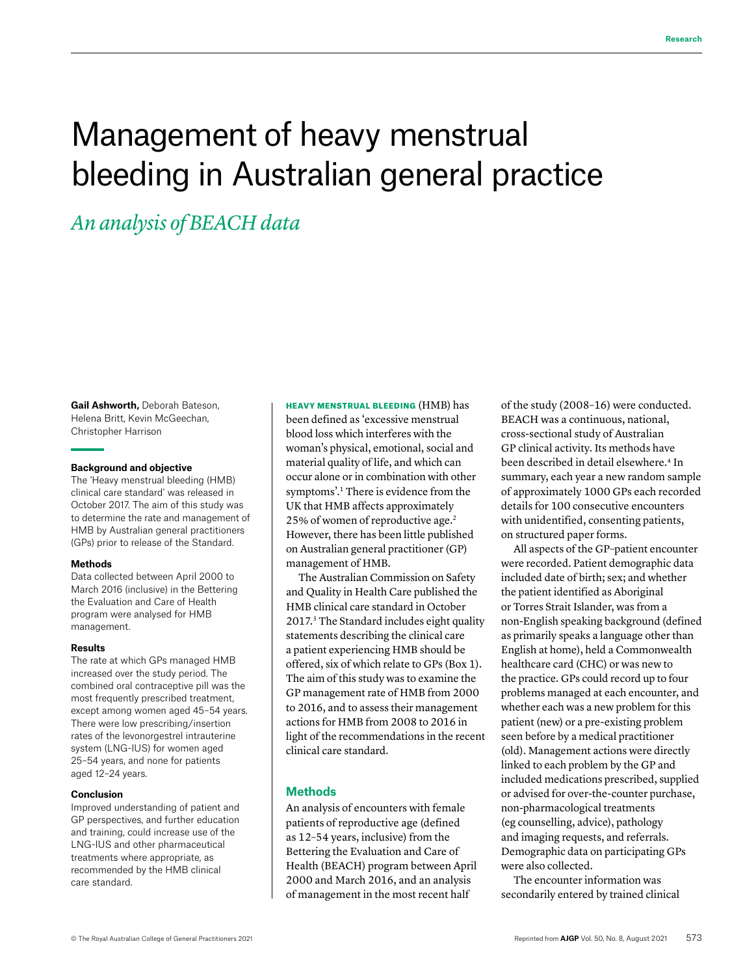# Management of heavy menstrual bleeding in Australian general practice

## *An analysis of BEACH data*

**Gail Ashworth,** Deborah Bateson, Helena Britt, Kevin McGeechan, Christopher Harrison

#### **Background and objective**

The 'Heavy menstrual bleeding (HMB) clinical care standard' was released in October 2017. The aim of this study was to determine the rate and management of HMB by Australian general practitioners (GPs) prior to release of the Standard.

#### **Methods**

Data collected between April 2000 to March 2016 (inclusive) in the Bettering the Evaluation and Care of Health program were analysed for HMB management.

#### **Results**

The rate at which GPs managed HMB increased over the study period. The combined oral contraceptive pill was the most frequently prescribed treatment, except among women aged 45–54 years. There were low prescribing/insertion rates of the levonorgestrel intrauterine system (LNG-IUS) for women aged 25–54 years, and none for patients aged 12–24 years.

#### **Conclusion**

Improved understanding of patient and GP perspectives, and further education and training, could increase use of the LNG-IUS and other pharmaceutical treatments where appropriate, as recommended by the HMB clinical care standard.

HEAVY MENSTRUAL BLEEDING (HMB) has been defined as 'excessive menstrual blood loss which interferes with the woman's physical, emotional, social and material quality of life, and which can occur alone or in combination with other symptoms'.1 There is evidence from the UK that HMB affects approximately 25% of women of reproductive age.2 However, there has been little published on Australian general practitioner (GP) management of HMB.

The Australian Commission on Safety and Quality in Health Care published the HMB clinical care standard in October 2017.3 The Standard includes eight quality statements describing the clinical care a patient experiencing HMB should be offered, six of which relate to GPs (Box 1). The aim of this study was to examine the GP management rate of HMB from 2000 to 2016, and to assess their management actions for HMB from 2008 to 2016 in light of the recommendations in the recent clinical care standard.

#### **Methods**

An analysis of encounters with female patients of reproductive age (defined as 12–54 years, inclusive) from the Bettering the Evaluation and Care of Health (BEACH) program between April 2000 and March 2016, and an analysis of management in the most recent half

of the study (2008–16) were conducted. BEACH was a continuous, national, cross-sectional study of Australian GP clinical activity. Its methods have been described in detail elsewhere.<sup>4</sup> In summary, each year a new random sample of approximately 1000 GPs each recorded details for 100 consecutive encounters with unidentified, consenting patients, on structured paper forms.

All aspects of the GP–patient encounter were recorded. Patient demographic data included date of birth; sex; and whether the patient identified as Aboriginal or Torres Strait Islander, was from a non-English speaking background (defined as primarily speaks a language other than English at home), held a Commonwealth healthcare card (CHC) or was new to the practice. GPs could record up to four problems managed at each encounter, and whether each was a new problem for this patient (new) or a pre-existing problem seen before by a medical practitioner (old). Management actions were directly linked to each problem by the GP and included medications prescribed, supplied or advised for over-the-counter purchase, non-pharmacological treatments (eg counselling, advice), pathology and imaging requests, and referrals. Demographic data on participating GPs were also collected.

The encounter information was secondarily entered by trained clinical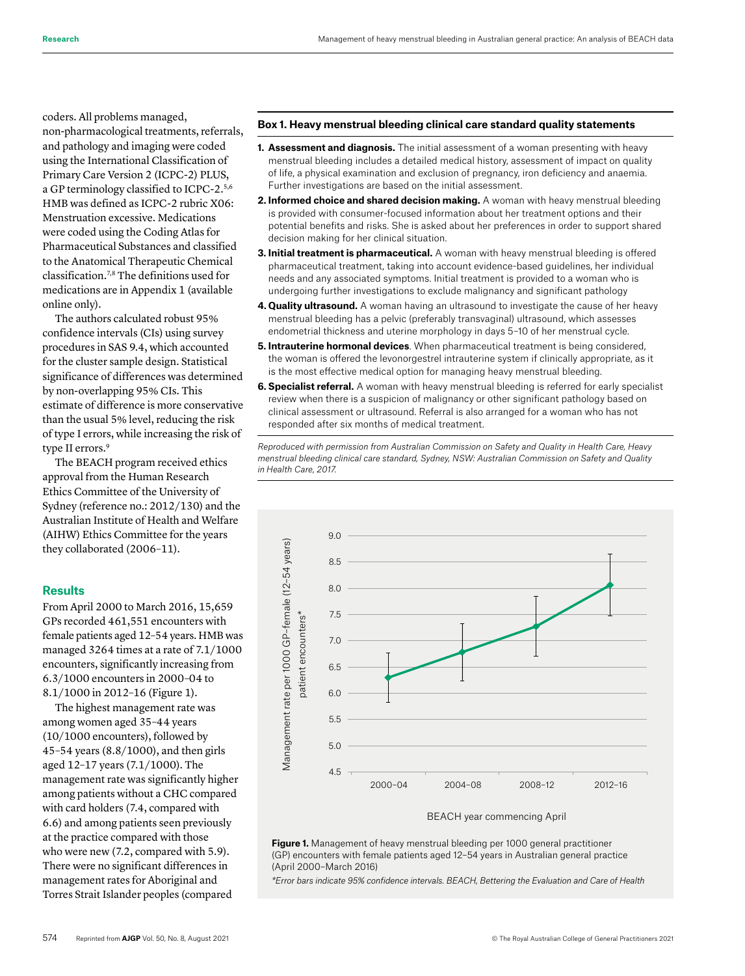coders. All problems managed, non-pharmacological treatments, referrals, and pathology and imaging were coded using the International Classification of Primary Care Version 2 (ICPC-2) PLUS, a GP terminology classified to ICPC-2.5,6 HMB was defined as ICPC-2 rubric X06: Menstruation excessive. Medications were coded using the Coding Atlas for Pharmaceutical Substances and classified to the Anatomical Therapeutic Chemical classification.7,8 The definitions used for medications are in Appendix 1 (available online only).

The authors calculated robust 95% confidence intervals (CIs) using survey procedures in SAS 9.4, which accounted for the cluster sample design. Statistical significance of differences was determined by non-overlapping 95% CIs. This estimate of difference is more conservative than the usual 5% level, reducing the risk of type I errors, while increasing the risk of type II errors.<sup>9</sup>

The BEACH program received ethics approval from the Human Research Ethics Committee of the University of Sydney (reference no.: 2012/130) and the Australian Institute of Health and Welfare (AIHW) Ethics Committee for the years they collaborated (2006–11).

#### **Results**

From April 2000 to March 2016, 15,659 GPs recorded 461,551 encounters with female patients aged 12–54 years. HMB was managed 3264 times at a rate of 7.1/1000 encounters, significantly increasing from 6.3/1000 encounters in 2000–04 to 8.1/1000 in 2012–16 (Figure 1).

The highest management rate was among women aged 35–44 years (10/1000 encounters), followed by 45–54 years (8.8/1000), and then girls aged 12–17 years (7.1/1000). The management rate was significantly higher among patients without a CHC compared with card holders (7.4, compared with 6.6) and among patients seen previously at the practice compared with those who were new (7.2, compared with 5.9). There were no significant differences in management rates for Aboriginal and Torres Strait Islander peoples (compared

#### **Box 1. Heavy menstrual bleeding clinical care standard quality statements**

- **1. Assessment and diagnosis.** The initial assessment of a woman presenting with heavy menstrual bleeding includes a detailed medical history, assessment of impact on quality of life, a physical examination and exclusion of pregnancy, iron deficiency and anaemia. Further investigations are based on the initial assessment.
- **2. Informed choice and shared decision making.** A woman with heavy menstrual bleeding is provided with consumer-focused information about her treatment options and their potential benefits and risks. She is asked about her preferences in order to support shared decision making for her clinical situation.
- **3. Initial treatment is pharmaceutical.** A woman with heavy menstrual bleeding is offered pharmaceutical treatment, taking into account evidence-based guidelines, her individual needs and any associated symptoms. Initial treatment is provided to a woman who is undergoing further investigations to exclude malignancy and significant pathology
- **4. Quality ultrasound.** A woman having an ultrasound to investigate the cause of her heavy menstrual bleeding has a pelvic (preferably transvaginal) ultrasound, which assesses endometrial thickness and uterine morphology in days 5–10 of her menstrual cycle.
- **5. Intrauterine hormonal devices**. When pharmaceutical treatment is being considered, the woman is offered the levonorgestrel intrauterine system if clinically appropriate, as it is the most effective medical option for managing heavy menstrual bleeding.
- **6. Specialist referral.** A woman with heavy menstrual bleeding is referred for early specialist review when there is a suspicion of malignancy or other significant pathology based on clinical assessment or ultrasound. Referral is also arranged for a woman who has not responded after six months of medical treatment.

*Reproduced with permission from Australian Commission on Safety and Quality in Health Care, Heavy menstrual bleeding clinical care standard, Sydney, NSW: Australian Commission on Safety and Quality in Health Care, 2017.*



**Figure 1.** Management of heavy menstrual bleeding per 1000 general practitioner (GP) encounters with female patients aged 12–54 years in Australian general practice (April 2000–March 2016)

*\*Error bars indicate 95% confidence intervals. BEACH, Bettering the Evaluation and Care of Health*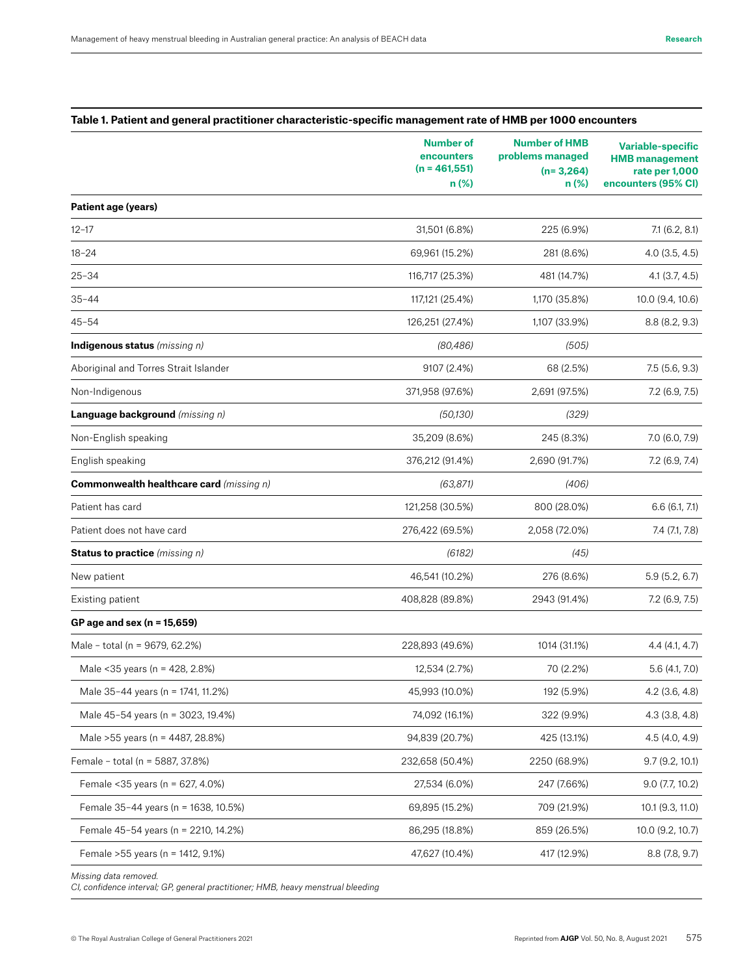#### **Table 1. Patient and general practitioner characteristic-specific management rate of HMB per 1000 encounters**

|                                                 | <b>Number of</b><br>encounters<br>$(n = 461, 551)$<br>$n$ (%) | <b>Number of HMB</b><br>problems managed<br>$(n=3,264)$<br>n(%) | <b>Variable-specific</b><br><b>HMB</b> management<br>rate per 1,000<br>encounters (95% CI) |
|-------------------------------------------------|---------------------------------------------------------------|-----------------------------------------------------------------|--------------------------------------------------------------------------------------------|
| Patient age (years)                             |                                                               |                                                                 |                                                                                            |
| $12 - 17$                                       | 31,501 (6.8%)                                                 | 225 (6.9%)                                                      | 7.1(6.2, 8.1)                                                                              |
| $18 - 24$                                       | 69,961 (15.2%)                                                | 281 (8.6%)                                                      | $4.0$ $(3.5, 4.5)$                                                                         |
| $25 - 34$                                       | 116,717 (25.3%)                                               | 481 (14.7%)                                                     | $4.1$ (3.7, 4.5)                                                                           |
| $35 - 44$                                       | 117,121 (25.4%)                                               | 1,170 (35.8%)                                                   | 10.0 (9.4, 10.6)                                                                           |
| $45 - 54$                                       | 126,251 (27.4%)                                               | 1,107 (33.9%)                                                   | 8.8(8.2, 9.3)                                                                              |
| Indigenous status (missing n)                   | (80, 486)                                                     | (505)                                                           |                                                                                            |
| Aboriginal and Torres Strait Islander           | 9107 (2.4%)                                                   | 68 (2.5%)                                                       | 7.5 (5.6, 9.3)                                                                             |
| Non-Indigenous                                  | 371,958 (97.6%)                                               | 2,691 (97.5%)                                                   | 7.2(6.9, 7.5)                                                                              |
| Language background (missing n)                 | (50, 130)                                                     | (329)                                                           |                                                                                            |
| Non-English speaking                            | 35,209 (8.6%)                                                 | 245 (8.3%)                                                      | 7.0 (6.0, 7.9)                                                                             |
| English speaking                                | 376,212 (91.4%)                                               | 2,690 (91.7%)                                                   | $7.2$ (6.9, 7.4)                                                                           |
| <b>Commonwealth healthcare card</b> (missing n) | (63, 871)                                                     | (406)                                                           |                                                                                            |
| Patient has card                                | 121,258 (30.5%)                                               | 800 (28.0%)                                                     | 6.6(6.1, 7.1)                                                                              |
| Patient does not have card                      | 276,422 (69.5%)                                               | 2,058 (72.0%)                                                   | $7.4$ $(7.1, 7.8)$                                                                         |
| <b>Status to practice</b> (missing n)           | (6182)                                                        | (45)                                                            |                                                                                            |
| New patient                                     | 46,541 (10.2%)                                                | 276 (8.6%)                                                      | 5.9(5.2, 6.7)                                                                              |
| Existing patient                                | 408,828 (89.8%)                                               | 2943 (91.4%)                                                    | 7.2(6.9, 7.5)                                                                              |
| GP age and sex ( $n = 15,659$ )                 |                                                               |                                                                 |                                                                                            |
| Male - total (n = 9679, 62.2%)                  | 228,893 (49.6%)                                               | 1014 (31.1%)                                                    | 4.4(4.1, 4.7)                                                                              |
| Male < 35 years (n = 428, 2.8%)                 | 12,534 (2.7%)                                                 | 70 (2.2%)                                                       | 5.6(4.1, 7.0)                                                                              |
| Male 35-44 years (n = 1741, 11.2%)              | 45,993 (10.0%)                                                | 192 (5.9%)                                                      | 4.2 (3.6, 4.8)                                                                             |
| Male 45-54 years (n = 3023, 19.4%)              | 74,092 (16.1%)                                                | 322 (9.9%)                                                      | $4.3$ (3.8, 4.8)                                                                           |
| Male >55 years (n = 4487, 28.8%)                | 94,839 (20.7%)                                                | 425 (13.1%)                                                     | 4.5 (4.0, 4.9)                                                                             |
| Female - total (n = 5887, 37.8%)                | 232,658 (50.4%)                                               | 2250 (68.9%)                                                    | 9.7(9.2, 10.1)                                                                             |
| Female < 35 years (n = 627, 4.0%)               | 27,534 (6.0%)                                                 | 247 (7.66%)                                                     | $9.0$ (7.7, 10.2)                                                                          |
| Female 35-44 years (n = 1638, 10.5%)            | 69,895 (15.2%)                                                | 709 (21.9%)                                                     | 10.1 (9.3, 11.0)                                                                           |
| Female 45-54 years (n = 2210, 14.2%)            | 86,295 (18.8%)                                                | 859 (26.5%)                                                     | 10.0 (9.2, 10.7)                                                                           |
| Female > 55 years (n = 1412, 9.1%)              | 47,627 (10.4%)                                                | 417 (12.9%)                                                     | 8.8 (7.8, 9.7)                                                                             |
|                                                 |                                                               |                                                                 |                                                                                            |

*Missing data removed.* 

*CI, confidence interval; GP, general practitioner; HMB, heavy menstrual bleeding*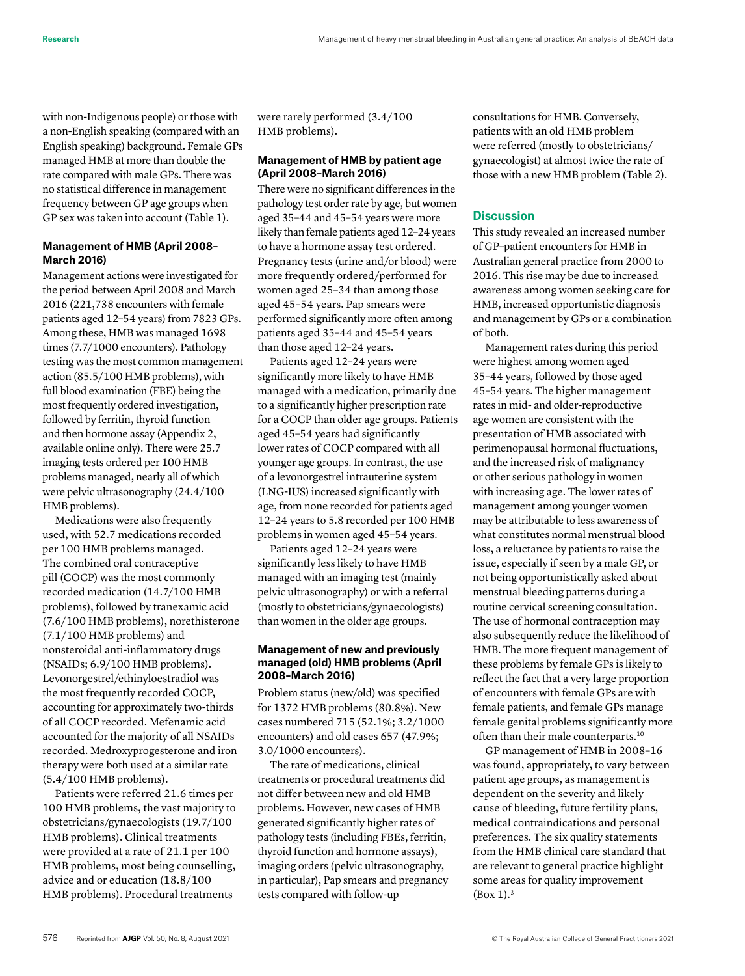with non-Indigenous people) or those with a non-English speaking (compared with an English speaking) background. Female GPs managed HMB at more than double the rate compared with male GPs. There was no statistical difference in management frequency between GP age groups when GP sex was taken into account (Table 1).

#### **Management of HMB (April 2008– March 2016)**

Management actions were investigated for the period between April 2008 and March 2016 (221,738 encounters with female patients aged 12–54 years) from 7823 GPs. Among these, HMB was managed 1698 times (7.7/1000 encounters). Pathology testing was the most common management action (85.5/100 HMB problems), with full blood examination (FBE) being the most frequently ordered investigation, followed by ferritin, thyroid function and then hormone assay (Appendix 2, available online only). There were 25.7 imaging tests ordered per 100 HMB problems managed, nearly all of which were pelvic ultrasonography (24.4/100 HMB problems).

Medications were also frequently used, with 52.7 medications recorded per 100 HMB problems managed. The combined oral contraceptive pill (COCP) was the most commonly recorded medication (14.7/100 HMB problems), followed by tranexamic acid (7.6/100 HMB problems), norethisterone (7.1/100 HMB problems) and nonsteroidal anti-inflammatory drugs (NSAIDs; 6.9/100 HMB problems). Levonorgestrel/ethinyloestradiol was the most frequently recorded COCP, accounting for approximately two-thirds of all COCP recorded. Mefenamic acid accounted for the majority of all NSAIDs recorded. Medroxyprogesterone and iron therapy were both used at a similar rate (5.4/100 HMB problems).

Patients were referred 21.6 times per 100 HMB problems, the vast majority to obstetricians/gynaecologists (19.7/100 HMB problems). Clinical treatments were provided at a rate of 21.1 per 100 HMB problems, most being counselling, advice and or education (18.8/100 HMB problems). Procedural treatments

were rarely performed (3.4/100 HMB problems).

#### **Management of HMB by patient age (April 2008–March 2016)**

There were no significant differences in the pathology test order rate by age, but women aged 35–44 and 45–54 years were more likely than female patients aged 12–24 years to have a hormone assay test ordered. Pregnancy tests (urine and/or blood) were more frequently ordered/performed for women aged 25–34 than among those aged 45–54 years. Pap smears were performed significantly more often among patients aged 35–44 and 45–54 years than those aged 12–24 years.

Patients aged 12–24 years were significantly more likely to have HMB managed with a medication, primarily due to a significantly higher prescription rate for a COCP than older age groups. Patients aged 45–54 years had significantly lower rates of COCP compared with all younger age groups. In contrast, the use of a levonorgestrel intrauterine system (LNG-IUS) increased significantly with age, from none recorded for patients aged 12–24 years to 5.8 recorded per 100 HMB problems in women aged 45–54 years.

Patients aged 12–24 years were significantly less likely to have HMB managed with an imaging test (mainly pelvic ultrasonography) or with a referral (mostly to obstetricians/gynaecologists) than women in the older age groups.

#### **Management of new and previously managed (old) HMB problems (April 2008–March 2016)**

Problem status (new/old) was specified for 1372 HMB problems (80.8%). New cases numbered 715 (52.1%; 3.2/1000 encounters) and old cases 657 (47.9%; 3.0/1000 encounters).

The rate of medications, clinical treatments or procedural treatments did not differ between new and old HMB problems. However, new cases of HMB generated significantly higher rates of pathology tests (including FBEs, ferritin, thyroid function and hormone assays), imaging orders (pelvic ultrasonography, in particular), Pap smears and pregnancy tests compared with follow-up

consultations for HMB. Conversely, patients with an old HMB problem were referred (mostly to obstetricians/ gynaecologist) at almost twice the rate of those with a new HMB problem (Table 2).

### **Discussion**

This study revealed an increased number of GP–patient encounters for HMB in Australian general practice from 2000 to 2016. This rise may be due to increased awareness among women seeking care for HMB, increased opportunistic diagnosis and management by GPs or a combination of both.

Management rates during this period were highest among women aged 35–44 years, followed by those aged 45–54 years. The higher management rates in mid- and older-reproductive age women are consistent with the presentation of HMB associated with perimenopausal hormonal fluctuations, and the increased risk of malignancy or other serious pathology in women with increasing age. The lower rates of management among younger women may be attributable to less awareness of what constitutes normal menstrual blood loss, a reluctance by patients to raise the issue, especially if seen by a male GP, or not being opportunistically asked about menstrual bleeding patterns during a routine cervical screening consultation. The use of hormonal contraception may also subsequently reduce the likelihood of HMB. The more frequent management of these problems by female GPs is likely to reflect the fact that a very large proportion of encounters with female GPs are with female patients, and female GPs manage female genital problems significantly more often than their male counterparts.10

GP management of HMB in 2008–16 was found, appropriately, to vary between patient age groups, as management is dependent on the severity and likely cause of bleeding, future fertility plans, medical contraindications and personal preferences. The six quality statements from the HMB clinical care standard that are relevant to general practice highlight some areas for quality improvement  $(Box 1).<sup>3</sup>$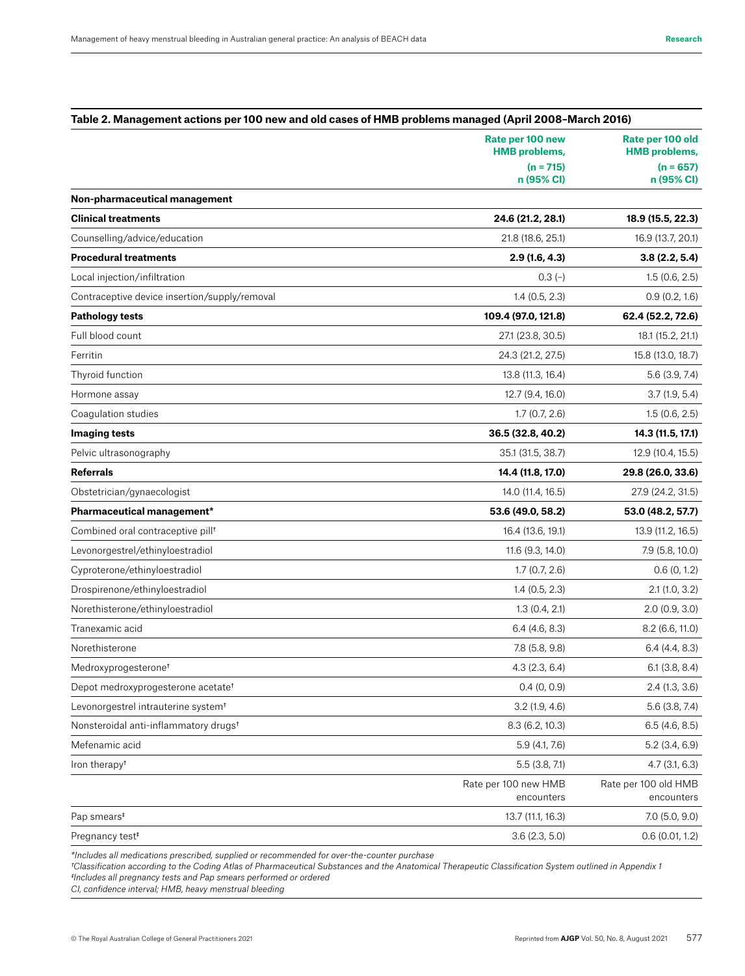|                                                   | Rate per 100 new<br><b>HMB</b> problems, | Rate per 100 old<br><b>HMB</b> problems,<br>$(n = 657)$<br>n (95% CI) |
|---------------------------------------------------|------------------------------------------|-----------------------------------------------------------------------|
|                                                   | $(n = 715)$<br>n (95% CI)                |                                                                       |
| Non-pharmaceutical management                     |                                          |                                                                       |
| <b>Clinical treatments</b>                        | 24.6 (21.2, 28.1)                        | 18.9 (15.5, 22.3)                                                     |
| Counselling/advice/education                      | 21.8 (18.6, 25.1)                        | 16.9 (13.7, 20.1)                                                     |
| <b>Procedural treatments</b>                      | 2.9(1.6, 4.3)                            | 3.8(2.2, 5.4)                                                         |
| Local injection/infiltration                      | $0.3(-)$                                 | 1.5(0.6, 2.5)                                                         |
| Contraceptive device insertion/supply/removal     | 1.4(0.5, 2.3)                            | 0.9(0.2, 1.6)                                                         |
| <b>Pathology tests</b>                            | 109.4 (97.0, 121.8)                      | 62.4 (52.2, 72.6)                                                     |
| Full blood count                                  | 27.1 (23.8, 30.5)                        | 18.1 (15.2, 21.1)                                                     |
| Ferritin                                          | 24.3 (21.2, 27.5)                        | 15.8 (13.0, 18.7)                                                     |
| Thyroid function                                  | 13.8 (11.3, 16.4)                        | $5.6$ (3.9, 7.4)                                                      |
| Hormone assay                                     | 12.7 (9.4, 16.0)                         | 3.7(1.9, 5.4)                                                         |
| Coaqulation studies                               | 1.7(0.7, 2.6)                            | 1.5(0.6, 2.5)                                                         |
| <b>Imaging tests</b>                              | 36.5 (32.8, 40.2)                        | 14.3 (11.5, 17.1)                                                     |
| Pelvic ultrasonography                            |                                          |                                                                       |
|                                                   | 35.1 (31.5, 38.7)                        | 12.9 (10.4, 15.5)                                                     |
| <b>Referrals</b>                                  | 14.4 (11.8, 17.0)                        | 29.8 (26.0, 33.6)                                                     |
| Obstetrician/gynaecologist                        | 14.0 (11.4, 16.5)                        | 27.9 (24.2, 31.5)                                                     |
| Pharmaceutical management*                        | 53.6 (49.0, 58.2)                        | 53.0 (48.2, 57.7)                                                     |
| Combined oral contraceptive pill <sup>t</sup>     | 16.4 (13.6, 19.1)                        | 13.9 (11.2, 16.5)                                                     |
| Levonorgestrel/ethinyloestradiol                  | 11.6 (9.3, 14.0)                         | 7.9 (5.8, 10.0)                                                       |
| Cyproterone/ethinyloestradiol                     | 1.7(0.7, 2.6)                            | 0.6(0, 1.2)                                                           |
| Drospirenone/ethinyloestradiol                    | 1.4(0.5, 2.3)                            | 2.1(1.0, 3.2)                                                         |
| Norethisterone/ethinyloestradiol                  | 1.3(0.4, 2.1)                            | 2.0(0.9, 3.0)                                                         |
| Tranexamic acid                                   | $6.4$ (4.6, 8.3)                         | 8.2 (6.6, 11.0)                                                       |
| Norethisterone                                    | 7.8 (5.8, 9.8)                           | $6.4$ (4.4, 8.3)                                                      |
| Medroxyprogesterone <sup>t</sup>                  | 4.3(2.3, 6.4)                            | 6.1(3.8, 8.4)                                                         |
| Depot medroxyprogesterone acetate <sup>t</sup>    | $0.4$ (0, 0.9)                           | $2.4$ (1.3, 3.6)                                                      |
| Levonorgestrel intrauterine system <sup>t</sup>   | 3.2(1.9, 4.6)                            | 5.6 (3.8, 7.4)                                                        |
| Nonsteroidal anti-inflammatory drugs <sup>t</sup> | 8.3 (6.2, 10.3)                          | $6.5$ (4.6, 8.5)                                                      |
| Mefenamic acid                                    | 5.9 (4.1, 7.6)                           | $5.2$ (3.4, 6.9)                                                      |
| Iron therapy <sup>+</sup>                         | $5.5$ (3.8, 7.1)                         | 4.7(3.1, 6.3)                                                         |
|                                                   | Rate per 100 new HMB<br>encounters       | Rate per 100 old HMB<br>encounters                                    |
| Pap smears <sup>#</sup>                           | 13.7 (11.1, 16.3)                        | 7.0 (5.0, 9.0)                                                        |
| Pregnancy test <sup>#</sup>                       | 3.6(2.3, 5.0)                            | 0.6(0.01, 1.2)                                                        |

*\*Includes all medications prescribed, supplied or recommended for over-the-counter purchase*

*†Classification according to the Coding Atlas of Pharmaceutical Substances and the Anatomical Therapeutic Classification System outlined in Appendix 1 ‡Includes all pregnancy tests and Pap smears performed or ordered*

*CI, confidence interval; HMB, heavy menstrual bleeding*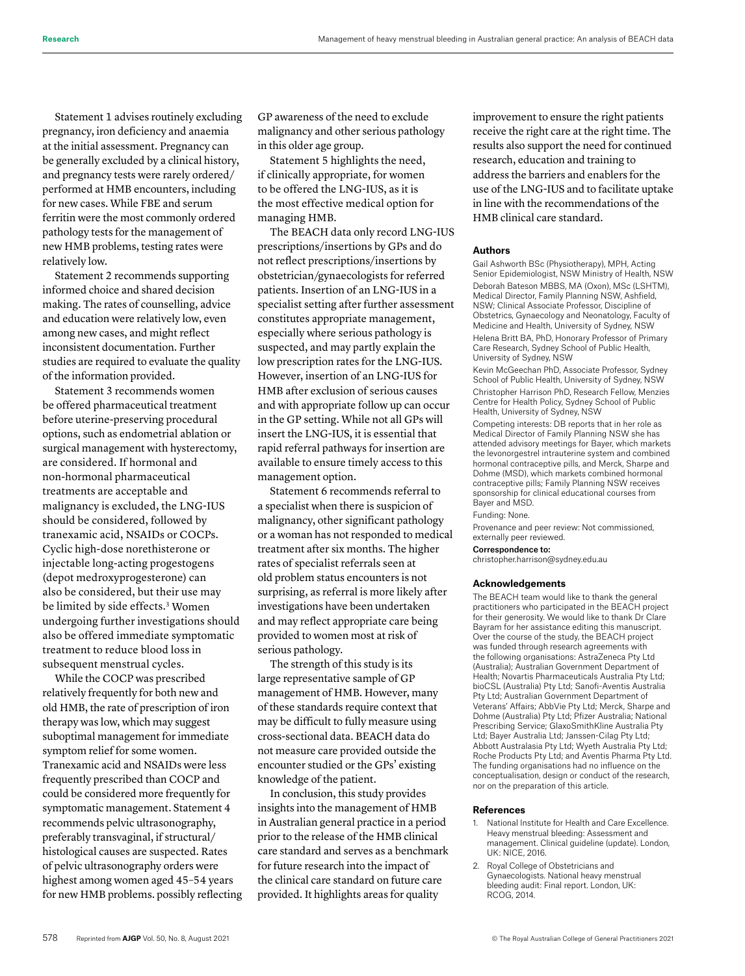Statement 1 advises routinely excluding pregnancy, iron deficiency and anaemia at the initial assessment. Pregnancy can be generally excluded by a clinical history, and pregnancy tests were rarely ordered/ performed at HMB encounters, including for new cases. While FBE and serum ferritin were the most commonly ordered pathology tests for the management of new HMB problems, testing rates were relatively low.

Statement 2 recommends supporting informed choice and shared decision making. The rates of counselling, advice and education were relatively low, even among new cases, and might reflect inconsistent documentation. Further studies are required to evaluate the quality of the information provided.

Statement 3 recommends women be offered pharmaceutical treatment before uterine-preserving procedural options, such as endometrial ablation or surgical management with hysterectomy, are considered. If hormonal and non-hormonal pharmaceutical treatments are acceptable and malignancy is excluded, the LNG-IUS should be considered, followed by tranexamic acid, NSAIDs or COCPs. Cyclic high-dose norethisterone or injectable long-acting progestogens (depot medroxyprogesterone) can also be considered, but their use may be limited by side effects.<sup>3</sup> Women undergoing further investigations should also be offered immediate symptomatic treatment to reduce blood loss in subsequent menstrual cycles.

While the COCP was prescribed relatively frequently for both new and old HMB, the rate of prescription of iron therapy was low, which may suggest suboptimal management for immediate symptom relief for some women. Tranexamic acid and NSAIDs were less frequently prescribed than COCP and could be considered more frequently for symptomatic management. Statement 4 recommends pelvic ultrasonography, preferably transvaginal, if structural/ histological causes are suspected. Rates of pelvic ultrasonography orders were highest among women aged 45–54 years for new HMB problems. possibly reflecting GP awareness of the need to exclude malignancy and other serious pathology in this older age group.

Statement 5 highlights the need, if clinically appropriate, for women to be offered the LNG-IUS, as it is the most effective medical option for managing HMB.

The BEACH data only record LNG-IUS prescriptions/insertions by GPs and do not reflect prescriptions/insertions by obstetrician/gynaecologists for referred patients. Insertion of an LNG-IUS in a specialist setting after further assessment constitutes appropriate management, especially where serious pathology is suspected, and may partly explain the low prescription rates for the LNG-IUS. However, insertion of an LNG-IUS for HMB after exclusion of serious causes and with appropriate follow up can occur in the GP setting. While not all GPs will insert the LNG-IUS, it is essential that rapid referral pathways for insertion are available to ensure timely access to this management option.

Statement 6 recommends referral to a specialist when there is suspicion of malignancy, other significant pathology or a woman has not responded to medical treatment after six months. The higher rates of specialist referrals seen at old problem status encounters is not surprising, as referral is more likely after investigations have been undertaken and may reflect appropriate care being provided to women most at risk of serious pathology.

The strength of this study is its large representative sample of GP management of HMB. However, many of these standards require context that may be difficult to fully measure using cross-sectional data. BEACH data do not measure care provided outside the encounter studied or the GPs' existing knowledge of the patient.

In conclusion, this study provides insights into the management of HMB in Australian general practice in a period prior to the release of the HMB clinical care standard and serves as a benchmark for future research into the impact of the clinical care standard on future care provided. It highlights areas for quality

improvement to ensure the right patients receive the right care at the right time. The results also support the need for continued research, education and training to address the barriers and enablers for the use of the LNG-IUS and to facilitate uptake in line with the recommendations of the HMB clinical care standard.

#### **Authors**

Gail Ashworth BSc (Physiotherapy), MPH, Acting Senior Epidemiologist, NSW Ministry of Health, NSW Deborah Bateson MBBS, MA (Oxon), MSc (LSHTM), Medical Director, Family Planning NSW, Ashfield, NSW; Clinical Associate Professor, Discipline of Obstetrics, Gynaecology and Neonatology, Faculty of Medicine and Health, University of Sydney, NSW Helena Britt BA, PhD, Honorary Professor of Primary Care Research, Sydney School of Public Health, University of Sydney, NSW

Kevin McGeechan PhD, Associate Professor, Sydney School of Public Health, University of Sydney, NSW Christopher Harrison PhD, Research Fellow, Menzies Centre for Health Policy, Sydney School of Public Health, University of Sydney, NSW

Competing interests: DB reports that in her role as Medical Director of Family Planning NSW she has attended advisory meetings for Bayer, which markets the levonorgestrel intrauterine system and combined hormonal contraceptive pills, and Merck, Sharpe and Dohme (MSD), which markets combined hormonal contraceptive pills; Family Planning NSW receives sponsorship for clinical educational courses from Bayer and MSD.

Funding: None.

Provenance and peer review: Not commissioned, externally peer reviewed.

#### Correspondence to:

christopher.harrison@sydney.edu.au

#### **Acknowledgements**

The BEACH team would like to thank the general practitioners who participated in the BEACH project for their generosity. We would like to thank Dr Clare Bayram for her assistance editing this manuscript. Over the course of the study, the BEACH project was funded through research agreements with the following organisations: AstraZeneca Pty Ltd (Australia); Australian Government Department of Health; Novartis Pharmaceuticals Australia Pty Ltd; bioCSL (Australia) Pty Ltd; Sanofi-Aventis Australia Pty Ltd; Australian Government Department of Veterans' Affairs; AbbVie Pty Ltd; Merck, Sharpe and Dohme (Australia) Pty Ltd; Pfizer Australia; National Prescribing Service; GlaxoSmithKline Australia Pty Ltd; Bayer Australia Ltd; Janssen-Cilag Pty Ltd; Abbott Australasia Pty Ltd; Wyeth Australia Pty Ltd; Roche Products Pty Ltd; and Aventis Pharma Pty Ltd. The funding organisations had no influence on the conceptualisation, design or conduct of the research, nor on the preparation of this article.

#### **References**

- National Institute for Health and Care Excellence. Heavy menstrual bleeding: Assessment and management. Clinical guideline (update). London, UK: NICE, 2016.
- 2. Royal College of Obstetricians and Gynaecologists. National heavy menstrual bleeding audit: Final report. London, UK: RCOG, 2014.